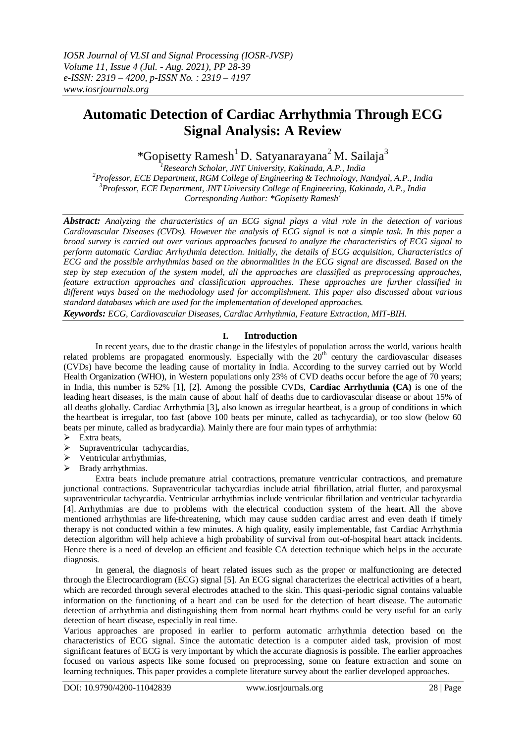# **Automatic Detection of Cardiac Arrhythmia Through ECG Signal Analysis: A Review**

\*Gopisetty Ramesh<sup>1</sup> D. Satyanarayana<sup>2</sup> M. Sailaja<sup>3</sup>

*Research Scholar, JNT University, Kakinada, A.P., India Professor, ECE Department, RGM College of Engineering & Technology, Nandyal, A.P., India Professor, ECE Department, JNT University College of Engineering, Kakinada, A.P., India Corresponding Author: \*Gopisetty Ramesh<sup>1</sup>*

*Abstract: Analyzing the characteristics of an ECG signal plays a vital role in the detection of various Cardiovascular Diseases (CVDs). However the analysis of ECG signal is not a simple task. In this paper a broad survey is carried out over various approaches focused to analyze the characteristics of ECG signal to perform automatic Cardiac Arrhythmia detection. Initially, the details of ECG acquisition, Characteristics of ECG and the possible arrhythmias based on the abnormalities in the ECG signal are discussed. Based on the step by step execution of the system model, all the approaches are classified as preprocessing approaches, feature extraction approaches and classification approaches. These approaches are further classified in different ways based on the methodology used for accomplishment. This paper also discussed about various standard databases which are used for the implementation of developed approaches.* 

*Keywords: ECG, Cardiovascular Diseases, Cardiac Arrhythmia, Feature Extraction, MIT-BIH.*

# **I. Introduction**

In recent years, due to the drastic change in the lifestyles of population across the world, various health related problems are propagated enormously. Especially with the 20<sup>th</sup> century the cardiovascular diseases (CVDs) have become the leading cause of mortality in India. According to the survey carried out by World Health Organization (WHO), in Western populations only 23% of CVD deaths occur before the age of 70 years; in India, this number is 52% [1], [2]. Among the possible CVDs, **Cardiac Arrhythmia (CA)** is one of the leading heart diseases, is the main cause of about half of deaths due to cardiovascular disease or about 15% of all deaths globally. Cardiac Arrhythmia [3]**,** also known as irregular heartbeat, is a group of conditions in which the heartbeat is irregular, too fast (above 100 beats per minute, called as tachycardia), or too slow (below 60 beats per minute, called as bradycardia). Mainly there are four main types of arrhythmia:

- $\triangleright$  Extra beats,
- $\triangleright$  Supraventricular tachycardias,
- $\triangleright$  Ventricular arrhythmias,
- $\triangleright$  Brady arrhythmias.

Extra beats include premature atrial contractions, premature ventricular contractions, and premature junctional contractions. Supraventricular tachycardias include atrial fibrillation, atrial flutter, and paroxysmal supraventricular tachycardia. Ventricular arrhythmias include ventricular fibrillation and ventricular tachycardia [4]. Arrhythmias are due to problems with the electrical conduction system of the heart. All the above mentioned arrhythmias are life-threatening, which may cause sudden cardiac arrest and even death if timely therapy is not conducted within a few minutes. A high quality, easily implementable, fast Cardiac Arrhythmia detection algorithm will help achieve a high probability of survival from out-of-hospital heart attack incidents. Hence there is a need of develop an efficient and feasible CA detection technique which helps in the accurate diagnosis.

In general, the diagnosis of heart related issues such as the proper or malfunctioning are detected through the Electrocardiogram (ECG) signal [5]. An ECG signal characterizes the electrical activities of a heart, which are recorded through several electrodes attached to the skin. This quasi-periodic signal contains valuable information on the functioning of a heart and can be used for the detection of heart disease. The automatic detection of arrhythmia and distinguishing them from normal heart rhythms could be very useful for an early detection of heart disease, especially in real time.

Various approaches are proposed in earlier to perform automatic arrhythmia detection based on the characteristics of ECG signal. Since the automatic detection is a computer aided task, provision of most significant features of ECG is very important by which the accurate diagnosis is possible. The earlier approaches focused on various aspects like some focused on preprocessing, some on feature extraction and some on learning techniques. This paper provides a complete literature survey about the earlier developed approaches.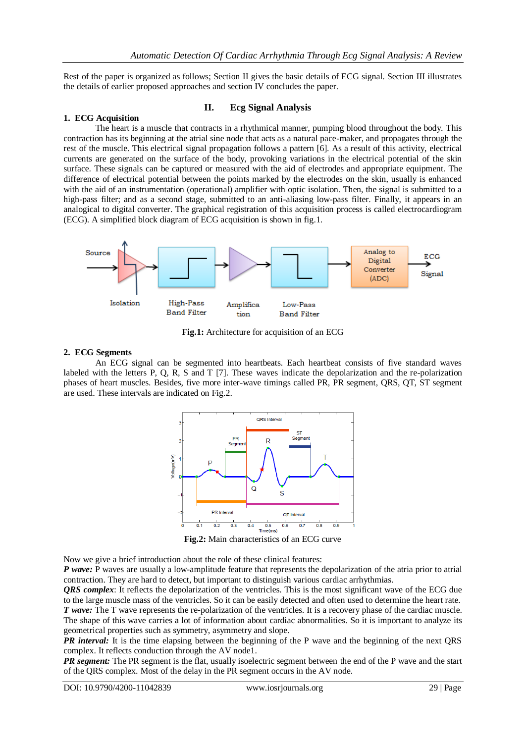Rest of the paper is organized as follows; Section II gives the basic details of ECG signal. Section III illustrates the details of earlier proposed approaches and section IV concludes the paper.

# **1. ECG Acquisition**

# **II. Ecg Signal Analysis**

The heart is a muscle that contracts in a rhythmical manner, pumping blood throughout the body. This contraction has its beginning at the atrial sine node that acts as a natural pace-maker, and propagates through the rest of the muscle. This electrical signal propagation follows a pattern [6]. As a result of this activity, electrical currents are generated on the surface of the body, provoking variations in the electrical potential of the skin surface. These signals can be captured or measured with the aid of electrodes and appropriate equipment. The difference of electrical potential between the points marked by the electrodes on the skin, usually is enhanced with the aid of an instrumentation (operational) amplifier with optic isolation. Then, the signal is submitted to a high-pass filter; and as a second stage, submitted to an anti-aliasing low-pass filter. Finally, it appears in an analogical to digital converter. The graphical registration of this acquisition process is called electrocardiogram (ECG). A simplified block diagram of ECG acquisition is shown in fig.1.



**Fig.1:** Architecture for acquisition of an ECG

#### **2. ECG Segments**

An ECG signal can be segmented into heartbeats. Each heartbeat consists of five standard waves labeled with the letters P, Q, R, S and T [7]. These waves indicate the depolarization and the re-polarization phases of heart muscles. Besides, five more inter-wave timings called PR, PR segment, QRS, QT, ST segment are used. These intervals are indicated on Fig.2.



**Fig.2:** Main characteristics of an ECG curve

Now we give a brief introduction about the role of these clinical features:

*P wave:* P waves are usually a low-amplitude feature that represents the depolarization of the atria prior to atrial contraction. They are hard to detect, but important to distinguish various cardiac arrhythmias.

*QRS complex*: It reflects the depolarization of the ventricles. This is the most significant wave of the ECG due to the large muscle mass of the ventricles. So it can be easily detected and often used to determine the heart rate. *T wave:* The T wave represents the re-polarization of the ventricles. It is a recovery phase of the cardiac muscle. The shape of this wave carries a lot of information about cardiac abnormalities. So it is important to analyze its geometrical properties such as symmetry, asymmetry and slope.

*PR interval:* It is the time elapsing between the beginning of the P wave and the beginning of the next QRS complex. It reflects conduction through the AV node1.

*PR segment:* The PR segment is the flat, usually isoelectric segment between the end of the P wave and the start of the QRS complex. Most of the delay in the PR segment occurs in the AV node.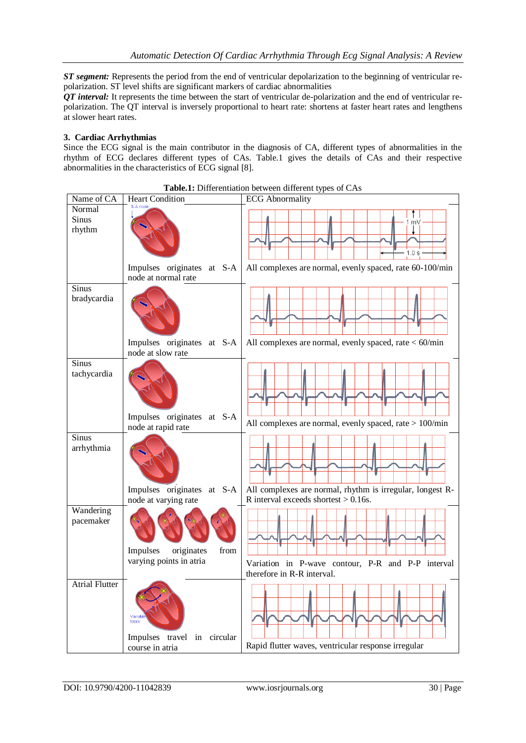*ST segment:* Represents the period from the end of ventricular depolarization to the beginning of ventricular repolarization. ST level shifts are significant markers of cardiac abnormalities

*QT interval:* It represents the time between the start of ventricular de-polarization and the end of ventricular repolarization. The QT interval is inversely proportional to heart rate: shortens at faster heart rates and lengthens at slower heart rates.

# **3. Cardiac Arrhythmias**

Since the ECG signal is the main contributor in the diagnosis of CA, different types of abnormalities in the rhythm of ECG declares different types of CAs. Table.1 gives the details of CAs and their respective abnormalities in the characteristics of ECG signal [8].

| Name of CA                       | <b>Heart Condition</b>                                    | <b>radicil.</b> Differentiation between different types of Cras<br><b>ECG</b> Abnormality |
|----------------------------------|-----------------------------------------------------------|-------------------------------------------------------------------------------------------|
| Normal<br><b>Sinus</b><br>rhythm | <b>SLA node</b>                                           | m٧<br>1.0 s                                                                               |
|                                  | Impulses originates at S-A<br>node at normal rate         | All complexes are normal, evenly spaced, rate 60-100/min                                  |
| <b>Sinus</b><br>bradycardia      | Impulses originates at S-A                                | All complexes are normal, evenly spaced, rate $<$ 60/min                                  |
|                                  | node at slow rate                                         |                                                                                           |
| <b>Sinus</b><br>tachycardia      | Impulses originates at S-A                                |                                                                                           |
|                                  | node at rapid rate                                        | All complexes are normal, evenly spaced, rate > 100/min                                   |
| <b>Sinus</b><br>arrhythmia       | Impulses originates at S-A                                | All complexes are normal, rhythm is irregular, longest R-                                 |
|                                  | node at varying rate                                      | R interval exceeds shortest $> 0.16$ s.                                                   |
| Wandering<br>pacemaker           | Impulses<br>originates<br>from<br>varying points in atria | Variation in P-wave contour, P-R and P-P interval<br>therefore in R-R interval.           |
| <b>Atrial Flutter</b>            | Variabl<br>block<br>Impulses travel in circular           |                                                                                           |
|                                  | course in atria                                           | Rapid flutter waves, ventricular response irregular                                       |

**Table.1:** Differentiation between different types of CAs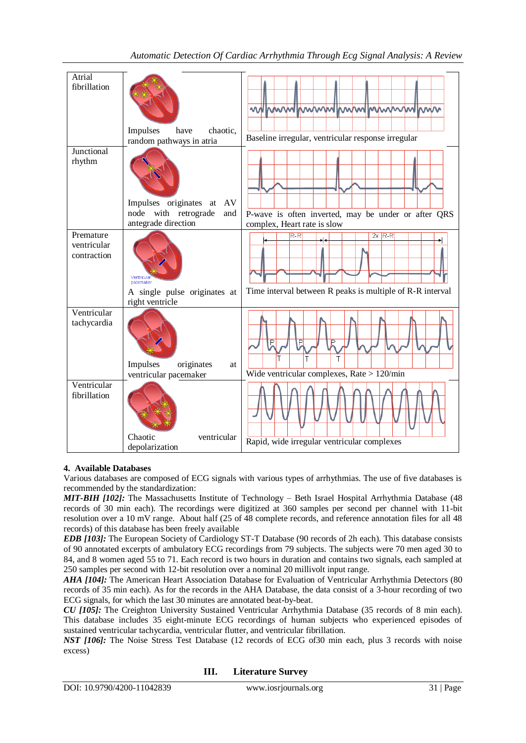| Atrial                                  |                                                       |                                                                                    |
|-----------------------------------------|-------------------------------------------------------|------------------------------------------------------------------------------------|
| fibrillation                            |                                                       |                                                                                    |
|                                         |                                                       | mmmlhmmlmhmmmlmln<br>WWW<br>W                                                      |
|                                         | Impulses<br>chaotic.<br>have                          |                                                                                    |
|                                         | random pathways in atria                              | Baseline irregular, ventricular response irregular                                 |
| Junctional<br>rhythm                    |                                                       |                                                                                    |
|                                         | Impulses originates<br>AV<br>at                       |                                                                                    |
|                                         | with retrograde<br>node<br>and<br>antegrade direction | P-wave is often inverted, may be under or after QRS<br>complex, Heart rate is slow |
| Premature<br>ventricular<br>contraction | pacemaker                                             | $R-R$<br>$2x$ R-R                                                                  |
|                                         | A single pulse originates at<br>right ventricle       | Time interval between R peaks is multiple of R-R interval                          |
| Ventricular<br>tachycardia              | Impulses<br>originates<br>at                          | Ē<br>P<br>Т                                                                        |
|                                         | ventricular pacemaker                                 | Wide ventricular complexes, Rate $> 120$ /min                                      |
| Ventricular<br>fibrillation             |                                                       |                                                                                    |
|                                         | Chaotic<br>ventricular<br>depolarization              | Rapid, wide irregular ventricular complexes                                        |

# **4. Available Databases**

Various databases are composed of ECG signals with various types of arrhythmias. The use of five databases is recommended by the standardization:

*MIT-BIH [102]:* The Massachusetts Institute of Technology – Beth Israel Hospital Arrhythmia Database (48 records of 30 min each). The recordings were digitized at 360 samples per second per channel with 11-bit resolution over a 10 mV range. About half (25 of 48 complete records, and reference annotation files for all 48 records) of this database has been freely available

*EDB [103]:* The European Society of Cardiology ST-T Database (90 records of 2h each). This database consists of 90 annotated excerpts of ambulatory ECG recordings from 79 subjects. The subjects were 70 men aged 30 to 84, and 8 women aged 55 to 71. Each record is two hours in duration and contains two signals, each sampled at 250 samples per second with 12-bit resolution over a nominal 20 millivolt input range.

*AHA [104]:* The American Heart Association Database for Evaluation of Ventricular Arrhythmia Detectors (80 records of 35 min each). As for the records in the AHA Database, the data consist of a 3-hour recording of two ECG signals, for which the last 30 minutes are annotated beat-by-beat.

*CU [105]:* The Creighton University Sustained Ventricular Arrhythmia Database (35 records of 8 min each). This database includes 35 eight-minute ECG recordings of human subjects who experienced episodes of sustained ventricular tachycardia, ventricular flutter, and ventricular fibrillation.

*NST [106]:* The Noise Stress Test Database (12 records of ECG of30 min each, plus 3 records with noise excess)

**III. Literature Survey**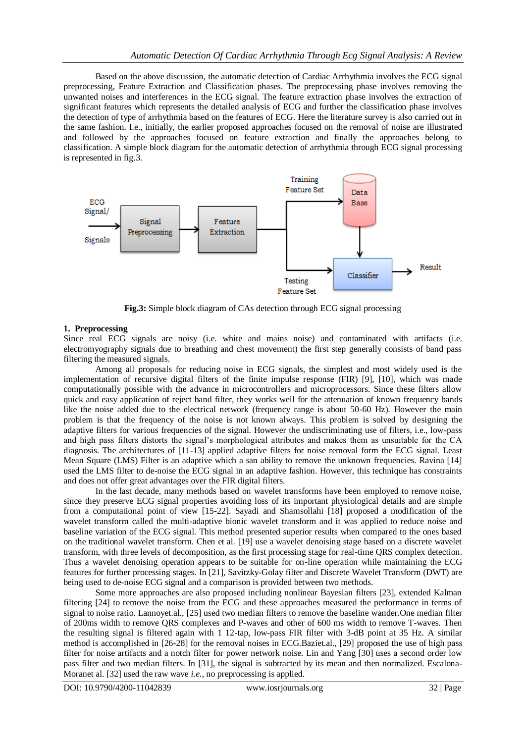Based on the above discussion, the automatic detection of Cardiac Arrhythmia involves the ECG signal preprocessing, Feature Extraction and Classification phases. The preprocessing phase involves removing the unwanted noises and interferences in the ECG signal. The feature extraction phase involves the extraction of significant features which represents the detailed analysis of ECG and further the classification phase involves the detection of type of arrhythmia based on the features of ECG. Here the literature survey is also carried out in the same fashion. I.e., initially, the earlier proposed approaches focused on the removal of noise are illustrated and followed by the approaches focused on feature extraction and finally the approaches belong to classification. A simple block diagram for the automatic detection of arrhythmia through ECG signal processing is represented in fig.3.



**Fig.3:** Simple block diagram of CAs detection through ECG signal processing

### **1. Preprocessing**

Since real ECG signals are noisy (i.e. white and mains noise) and contaminated with artifacts (i.e. electromyography signals due to breathing and chest movement) the first step generally consists of band pass filtering the measured signals.

Among all proposals for reducing noise in ECG signals, the simplest and most widely used is the implementation of recursive digital filters of the finite impulse response (FIR) [9], [10], which was made computationally possible with the advance in microcontrollers and microprocessors. Since these filters allow quick and easy application of reject band filter, they works well for the attenuation of known frequency bands like the noise added due to the electrical network (frequency range is about 50-60 Hz). However the main problem is that the frequency of the noise is not known always. This problem is solved by designing the adaptive filters for various frequencies of the signal. However the undiscriminating use of filters, i.e., low-pass and high pass filters distorts the signal's morphological attributes and makes them as unsuitable for the CA diagnosis. The architectures of [11-13] applied adaptive filters for noise removal form the ECG signal. Least Mean Square (LMS) Filter is an adaptive which a san ability to remove the unknown frequencies. Ravina [14] used the LMS filter to de-noise the ECG signal in an adaptive fashion. However, this technique has constraints and does not offer great advantages over the FIR digital filters.

In the last decade, many methods based on wavelet transforms have been employed to remove noise, since they preserve ECG signal properties avoiding loss of its important physiological details and are simple from a computational point of view [15-22]. Sayadi and Shamsollahi [18] proposed a modification of the wavelet transform called the multi-adaptive bionic wavelet transform and it was applied to reduce noise and baseline variation of the ECG signal. This method presented superior results when compared to the ones based on the traditional wavelet transform. Chen et al. [19] use a wavelet denoising stage based on a discrete wavelet transform, with three levels of decomposition, as the first processing stage for real-time QRS complex detection. Thus a wavelet denoising operation appears to be suitable for on-line operation while maintaining the ECG features for further processing stages. In [21], Savitzky-Golay filter and Discrete Wavelet Transform (DWT) are being used to de-noise ECG signal and a comparison is provided between two methods.

Some more approaches are also proposed including nonlinear Bayesian filters [23], extended Kalman filtering [24] to remove the noise from the ECG and these approaches measured the performance in terms of signal to noise ratio. Lannoyet.al., [25] used two median filters to remove the baseline wander.One median filter of 200ms width to remove QRS complexes and P-waves and other of 600 ms width to remove T-waves. Then the resulting signal is filtered again with 1 12-tap, low-pass FIR filter with 3-dB point at 35 Hz. A similar method is accomplished in [26-28] for the removal noises in ECG.Baziet.al., [29] proposed the use of high pass filter for noise artifacts and a notch filter for power network noise. Lin and Yang [30] uses a second order low pass filter and two median filters. In [31], the signal is subtracted by its mean and then normalized. Escalona-Moranet al. [32] used the raw wave *i.e.*, no preprocessing is applied.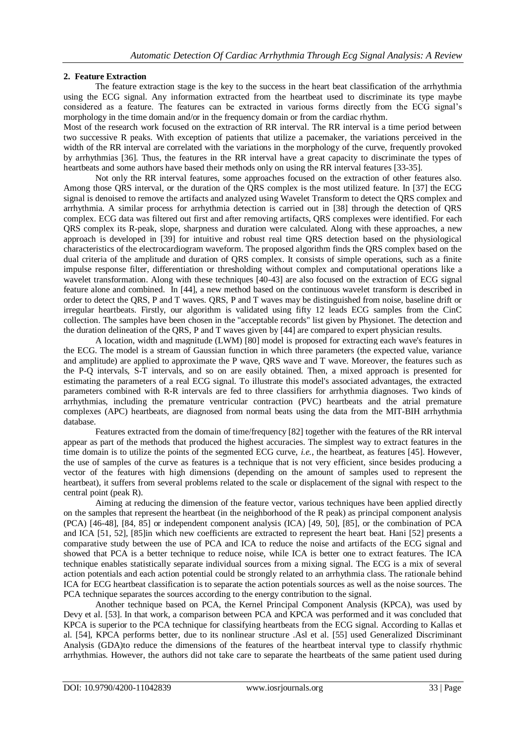# **2. Feature Extraction**

The feature extraction stage is the key to the success in the heart beat classification of the arrhythmia using the ECG signal. Any information extracted from the heartbeat used to discriminate its type maybe considered as a feature. The features can be extracted in various forms directly from the ECG signal's morphology in the time domain and/or in the frequency domain or from the cardiac rhythm.

Most of the research work focused on the extraction of RR interval. The RR interval is a time period between two successive R peaks. With exception of patients that utilize a pacemaker, the variations perceived in the width of the RR interval are correlated with the variations in the morphology of the curve, frequently provoked by arrhythmias [36]. Thus, the features in the RR interval have a great capacity to discriminate the types of heartbeats and some authors have based their methods only on using the RR interval features [33-35].

Not only the RR interval features, some approaches focused on the extraction of other features also. Among those QRS interval, or the duration of the QRS complex is the most utilized feature. In [37] the ECG signal is denoised to remove the artifacts and analyzed using Wavelet Transform to detect the QRS complex and arrhythmia. A similar process for arrhythmia detection is carried out in [38] through the detection of QRS complex. ECG data was filtered out first and after removing artifacts, QRS complexes were identified. For each QRS complex its R-peak, slope, sharpness and duration were calculated. Along with these approaches, a new approach is developed in [39] for intuitive and robust real time QRS detection based on the physiological characteristics of the electrocardiogram waveform. The proposed algorithm finds the QRS complex based on the dual criteria of the amplitude and duration of QRS complex. It consists of simple operations, such as a finite impulse response filter, differentiation or thresholding without complex and computational operations like a wavelet transformation. Along with these techniques [40-43] are also focused on the extraction of ECG signal feature alone and combined. In [44], a new method based on the continuous wavelet transform is described in order to detect the QRS, P and T waves. QRS, P and T waves may be distinguished from noise, baseline drift or irregular heartbeats. Firstly, our algorithm is validated using fifty 12 leads ECG samples from the CinC collection. The samples have been chosen in the "acceptable records" list given by Physionet. The detection and the duration delineation of the QRS, P and T waves given by [44] are compared to expert physician results.

A location, width and magnitude (LWM) [80] model is proposed for extracting each wave's features in the ECG. The model is a stream of Gaussian function in which three parameters (the expected value, variance and amplitude) are applied to approximate the P wave, QRS wave and T wave. Moreover, the features such as the P-Q intervals, S-T intervals, and so on are easily obtained. Then, a mixed approach is presented for estimating the parameters of a real ECG signal. To illustrate this model's associated advantages, the extracted parameters combined with R-R intervals are fed to three classifiers for arrhythmia diagnoses. Two kinds of arrhythmias, including the premature ventricular contraction (PVC) heartbeats and the atrial premature complexes (APC) heartbeats, are diagnosed from normal beats using the data from the MIT-BIH arrhythmia database.

Features extracted from the domain of time/frequency [82] together with the features of the RR interval appear as part of the methods that produced the highest accuracies. The simplest way to extract features in the time domain is to utilize the points of the segmented ECG curve, *i.e.*, the heartbeat, as features [45]. However, the use of samples of the curve as features is a technique that is not very efficient, since besides producing a vector of the features with high dimensions (depending on the amount of samples used to represent the heartbeat), it suffers from several problems related to the scale or displacement of the signal with respect to the central point (peak R).

Aiming at reducing the dimension of the feature vector, various techniques have been applied directly on the samples that represent the heartbeat (in the neighborhood of the R peak) as principal component analysis (PCA) [46-48], [84, 85] or independent component analysis (ICA) [49, 50], [85], or the combination of PCA and ICA [51, 52], [85]in which new coefficients are extracted to represent the heart beat. Hani [52] presents a comparative study between the use of PCA and ICA to reduce the noise and artifacts of the ECG signal and showed that PCA is a better technique to reduce noise, while ICA is better one to extract features. The ICA technique enables statistically separate individual sources from a mixing signal. The ECG is a mix of several action potentials and each action potential could be strongly related to an arrhythmia class. The rationale behind ICA for ECG heartbeat classification is to separate the action potentials sources as well as the noise sources. The PCA technique separates the sources according to the energy contribution to the signal.

Another technique based on PCA, the Kernel Principal Component Analysis (KPCA), was used by Devy et al. [53]. In that work, a comparison between PCA and KPCA was performed and it was concluded that KPCA is superior to the PCA technique for classifying heartbeats from the ECG signal. According to Kallas et al. [54], KPCA performs better, due to its nonlinear structure .Asl et al. [55] used Generalized Discriminant Analysis (GDA)to reduce the dimensions of the features of the heartbeat interval type to classify rhythmic arrhythmias. However, the authors did not take care to separate the heartbeats of the same patient used during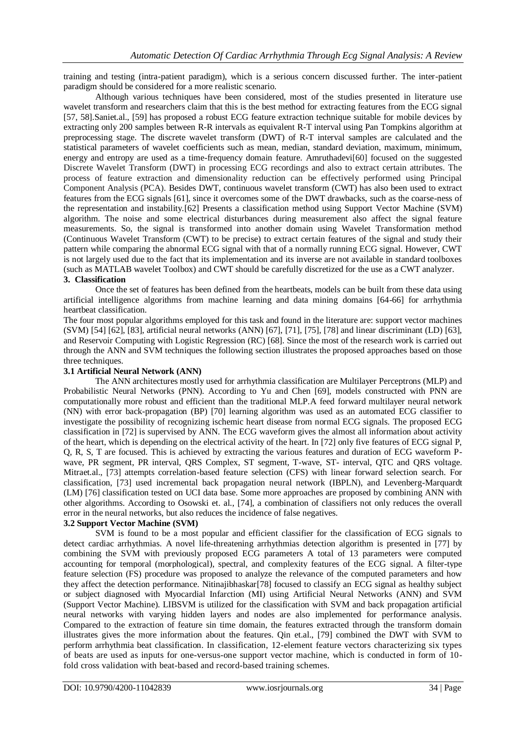training and testing (intra-patient paradigm), which is a serious concern discussed further. The inter-patient paradigm should be considered for a more realistic scenario.

Although various techniques have been considered, most of the studies presented in literature use wavelet transform and researchers claim that this is the best method for extracting features from the ECG signal [57, 58].Saniet.al., [59] has proposed a robust ECG feature extraction technique suitable for mobile devices by extracting only 200 samples between R-R intervals as equivalent R-T interval using Pan Tompkins algorithm at preprocessing stage. The discrete wavelet transform (DWT) of R-T interval samples are calculated and the statistical parameters of wavelet coefficients such as mean, median, standard deviation, maximum, minimum, energy and entropy are used as a time-frequency domain feature. Amruthadevi[60] focused on the suggested Discrete Wavelet Transform (DWT) in processing ECG recordings and also to extract certain attributes. The process of feature extraction and dimensionality reduction can be effectively performed using Principal Component Analysis (PCA). Besides DWT, continuous wavelet transform (CWT) has also been used to extract features from the ECG signals [61], since it overcomes some of the DWT drawbacks, such as the coarse-ness of the representation and instability.[62] Presents a classification method using Support Vector Machine (SVM) algorithm. The noise and some electrical disturbances during measurement also affect the signal feature measurements. So, the signal is transformed into another domain using Wavelet Transformation method (Continuous Wavelet Transform (CWT) to be precise) to extract certain features of the signal and study their pattern while comparing the abnormal ECG signal with that of a normally running ECG signal. However, CWT is not largely used due to the fact that its implementation and its inverse are not available in standard toolboxes (such as MATLAB wavelet Toolbox) and CWT should be carefully discretized for the use as a CWT analyzer. **3. Classification** 

Once the set of features has been defined from the heartbeats, models can be built from these data using artificial intelligence algorithms from machine learning and data mining domains [64-66] for arrhythmia heartbeat classification.

The four most popular algorithms employed for this task and found in the literature are: support vector machines (SVM) [54] [62], [83], artificial neural networks (ANN) [67], [71], [75], [78] and linear discriminant (LD) [63], and Reservoir Computing with Logistic Regression (RC) [68]. Since the most of the research work is carried out through the ANN and SVM techniques the following section illustrates the proposed approaches based on those three techniques.

#### **3.1 Artificial Neural Network (ANN)**

The ANN architectures mostly used for arrhythmia classification are Multilayer Perceptrons (MLP) and Probabilistic Neural Networks (PNN). According to Yu and Chen [69], models constructed with PNN are computationally more robust and efficient than the traditional MLP.A feed forward multilayer neural network (NN) with error back-propagation (BP) [70] learning algorithm was used as an automated ECG classifier to investigate the possibility of recognizing ischemic heart disease from normal ECG signals. The proposed ECG classification in [72] is supervised by ANN. The ECG waveform gives the almost all information about activity of the heart, which is depending on the electrical activity of the heart. In [72] only five features of ECG signal P, Q, R, S, T are focused. This is achieved by extracting the various features and duration of ECG waveform Pwave, PR segment, PR interval, QRS Complex, ST segment, T-wave, ST- interval, QTC and QRS voltage. Mitraet.al., [73] attempts correlation-based feature selection (CFS) with linear forward selection search. For classification, [73] used incremental back propagation neural network (IBPLN), and Levenberg-Marquardt (LM) [76] classification tested on UCI data base. Some more approaches are proposed by combining ANN with other algorithms. According to Osowski et. al., [74], a combination of classifiers not only reduces the overall error in the neural networks, but also reduces the incidence of false negatives.

#### **3.2 Support Vector Machine (SVM)**

SVM is found to be a most popular and efficient classifier for the classification of ECG signals to detect cardiac arrhythmias. A novel life-threatening arrhythmias detection algorithm is presented in [77] by combining the SVM with previously proposed ECG parameters A total of 13 parameters were computed accounting for temporal (morphological), spectral, and complexity features of the ECG signal. A filter-type feature selection (FS) procedure was proposed to analyze the relevance of the computed parameters and how they affect the detection performance. Nitinajibhaskar[78] focused to classify an ECG signal as healthy subject or subject diagnosed with Myocardial Infarction (MI) using Artificial Neural Networks (ANN) and SVM (Support Vector Machine). LIBSVM is utilized for the classification with SVM and back propagation artificial neural networks with varying hidden layers and nodes are also implemented for performance analysis. Compared to the extraction of feature sin time domain, the features extracted through the transform domain illustrates gives the more information about the features. Qin et.al., [79] combined the DWT with SVM to perform arrhythmia beat classification. In classification, 12-element feature vectors characterizing six types of beats are used as inputs for one-versus-one support vector machine, which is conducted in form of 10 fold cross validation with beat-based and record-based training schemes.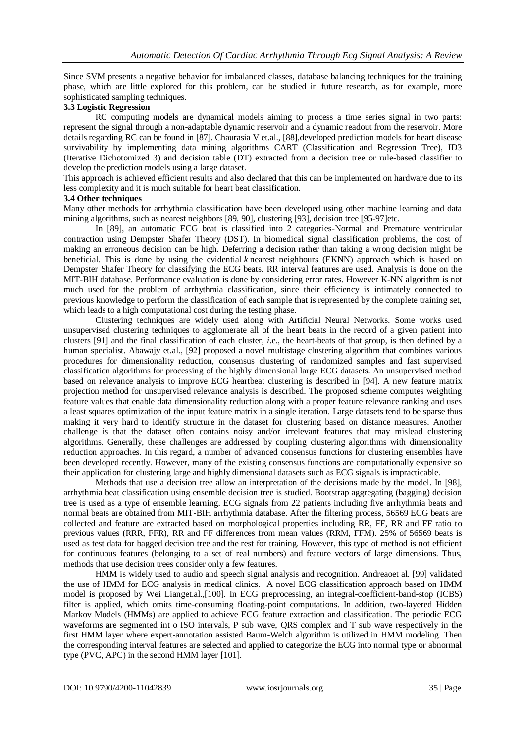Since SVM presents a negative behavior for imbalanced classes, database balancing techniques for the training phase, which are little explored for this problem, can be studied in future research, as for example, more sophisticated sampling techniques.

# **3.3 Logistic Regression**

RC computing models are dynamical models aiming to process a time series signal in two parts: represent the signal through a non-adaptable dynamic reservoir and a dynamic readout from the reservoir. More details regarding RC can be found in [87]. Chaurasia V et.al., [88],developed prediction models for heart disease survivability by implementing data mining algorithms CART (Classification and Regression Tree), ID3 (Iterative Dichotomized 3) and decision table (DT) extracted from a decision tree or rule-based classifier to develop the prediction models using a large dataset.

This approach is achieved efficient results and also declared that this can be implemented on hardware due to its less complexity and it is much suitable for heart beat classification.

#### **3.4 Other techniques**

Many other methods for arrhythmia classification have been developed using other machine learning and data mining algorithms, such as nearest neighbors [89, 90], clustering [93], decision tree [95-97]etc.

In [89], an automatic ECG beat is classified into 2 categories-Normal and Premature ventricular contraction using Dempster Shafer Theory (DST). In biomedical signal classification problems, the cost of making an erroneous decision can be high. Deferring a decision rather than taking a wrong decision might be beneficial. This is done by using the evidential *k* nearest neighbours (EKNN) approach which is based on Dempster Shafer Theory for classifying the ECG beats. RR interval features are used. Analysis is done on the MIT-BIH database. Performance evaluation is done by considering error rates. However K-NN algorithm is not much used for the problem of arrhythmia classification, since their efficiency is intimately connected to previous knowledge to perform the classification of each sample that is represented by the complete training set, which leads to a high computational cost during the testing phase.

Clustering techniques are widely used along with Artificial Neural Networks. Some works used unsupervised clustering techniques to agglomerate all of the heart beats in the record of a given patient into clusters [91] and the final classification of each cluster, *i*.e., the heart-beats of that group, is then defined by a human specialist. Abawajy et.al., [92] proposed a novel multistage clustering algorithm that combines various procedures for dimensionality reduction, consensus clustering of randomized samples and fast supervised classification algorithms for processing of the highly dimensional large ECG datasets. An unsupervised method based on relevance analysis to improve ECG heartbeat clustering is described in [94]. A new feature matrix projection method for unsupervised relevance analysis is described. The proposed scheme computes weighting feature values that enable data dimensionality reduction along with a proper feature relevance ranking and uses a least squares optimization of the input feature matrix in a single iteration. Large datasets tend to be sparse thus making it very hard to identify structure in the dataset for clustering based on distance measures. Another challenge is that the dataset often contains noisy and/or irrelevant features that may mislead clustering algorithms. Generally, these challenges are addressed by coupling clustering algorithms with dimensionality reduction approaches. In this regard, a number of advanced consensus functions for clustering ensembles have been developed recently. However, many of the existing consensus functions are computationally expensive so their application for clustering large and highly dimensional datasets such as ECG signals is impracticable.

Methods that use a decision tree allow an interpretation of the decisions made by the model. In [98], arrhythmia beat classification using ensemble decision tree is studied. Bootstrap aggregating (bagging) decision tree is used as a type of ensemble learning. ECG signals from 22 patients including five arrhythmia beats and normal beats are obtained from MIT-BIH arrhythmia database. After the filtering process, 56569 ECG beats are collected and feature are extracted based on morphological properties including RR, FF, RR and FF ratio to previous values (RRR, FFR), RR and FF differences from mean values (RRM, FFM). 25% of 56569 beats is used as test data for bagged decision tree and the rest for training. However, this type of method is not efficient for continuous features (belonging to a set of real numbers) and feature vectors of large dimensions. Thus, methods that use decision trees consider only a few features.

HMM is widely used to audio and speech signal analysis and recognition. Andreaoet al. [99] validated the use of HMM for ECG analysis in medical clinics. A novel ECG classification approach based on HMM model is proposed by Wei Lianget.al.,[100]. In ECG preprocessing, an integral-coefficient-band-stop (ICBS) filter is applied, which omits time-consuming floating-point computations. In addition, two-layered Hidden Markov Models (HMMs) are applied to achieve ECG feature extraction and classification. The periodic ECG waveforms are segmented int o ISO intervals, P sub wave, QRS complex and T sub wave respectively in the first HMM layer where expert-annotation assisted Baum-Welch algorithm is utilized in HMM modeling. Then the corresponding interval features are selected and applied to categorize the ECG into normal type or abnormal type (PVC, APC) in the second HMM layer [101].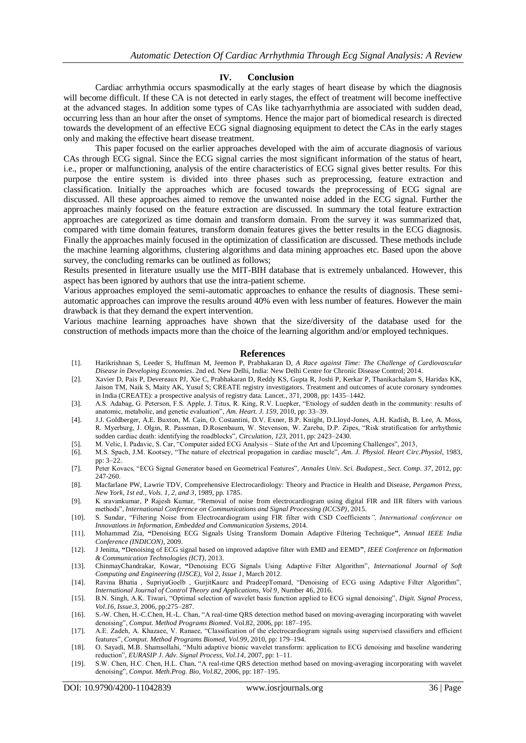#### **IV. Conclusion**

Cardiac arrhythmia occurs spasmodically at the early stages of heart disease by which the diagnosis will become difficult. If these CA is not detected in early stages, the effect of treatment will become ineffective at the advanced stages. In addition some types of CAs like tachyarrhythmia are associated with sudden dead, occurring less than an hour after the onset of symptoms. Hence the major part of biomedical research is directed towards the development of an effective ECG signal diagnosing equipment to detect the CAs in the early stages only and making the effective heart disease treatment.

This paper focused on the earlier approaches developed with the aim of accurate diagnosis of various CAs through ECG signal. Since the ECG signal carries the most significant information of the status of heart, i.e., proper or malfunctioning, analysis of the entire characteristics of ECG signal gives better results. For this purpose the entire system is divided into three phases such as preprocessing, feature extraction and classification. Initially the approaches which are focused towards the preprocessing of ECG signal are discussed. All these approaches aimed to remove the unwanted noise added in the ECG signal. Further the approaches mainly focused on the feature extraction are discussed. In summary the total feature extraction approaches are categorized as time domain and transform domain. From the survey it was summarized that, compared with time domain features, transform domain features gives the better results in the ECG diagnosis. Finally the approaches mainly focused in the optimization of classification are discussed. These methods include the machine learning algorithms, clustering algorithms and data mining approaches etc. Based upon the above survey, the concluding remarks can be outlined as follows;

Results presented in literature usually use the MIT-BIH database that is extremely unbalanced. However, this aspect has been ignored by authors that use the intra-patient scheme.

Various approaches employed the semi-automatic approaches to enhance the results of diagnosis. These semiautomatic approaches can improve the results around 40% even with less number of features. However the main drawback is that they demand the expert intervention.

Various machine learning approaches have shown that the size/diversity of the database used for the construction of methods impacts more than the choice of the learning algorithm and/or employed techniques.

#### **References**

- [1]. Harikrishnan S, Leeder S, Huffman M, Jeemon P, Prabhakaran D, *A Race against Time: The Challenge of Cardiovascular Disease in Developing Economies*. 2nd ed. New Delhi, India: New Delhi Centre for Chronic Disease Control; 2014.
- [2]. Xavier D, Pais P, Devereaux PJ, Xie C, Prabhakaran D, Reddy KS, Gupta R, Joshi P, Kerkar P, Thanikachalam S, Haridas KK, Jaison TM, Naik S, Maity AK, Yusuf S; CREATE registry investigators. Treatment and outcomes of acute coronary syndromes in India (CREATE): a prospective analysis of registry data. Lancet., 371, 2008, pp: 1435–1442.
- [3]. A.S. Adabag, G. Peterson, F.S. Apple, J. Titus, R. King, R.V. Luepker, "Etiology of sudden death in the community: results of anatomic, metabolic, and genetic evaluation", *Am. Heart. J. 159*, 2010, pp: 33–39.
- [4]. J.J. Goldberger, A.E. Buxton, M. Cain, O. Costantini, D.V. Exner, B.P. Knight, D.Lloyd-Jones, A.H. Kadish, B. Lee, A. Moss, R. Myerburg, J. Olgin, R. Passman, D.Rosenbaum, W. Stevenson, W. Zareba, D.P. Zipes, "Risk stratification for arrhythmic sudden cardiac death: identifying the roadblocks", *Circulation, 123*, 2011, pp: 2423–2430.
- [5]. M. Velic, I. Padavic, S. Car, "Computer aided ECG Analysis State of the Art and Upcoming Challenges", 2013,
- [6]. M.S. Spach, J.M. Kootsey, "The nature of electrical propagation in cardiac muscle", *Am. J. Physiol. Heart Circ.Physiol*, 1983, pp: 3–22.
- [7]. Peter Kovacs, "ECG Signal Generator based on Geometrical Features", *Annales Univ. Sci. Budapest., Sect. Comp. 37*, 2012, pp: 247-260.
- [8]. Macfarlane PW, Lawrie TDV, Comprehensive Electrocardiology: Theory and Practice in Health and Disease, *Pergamon Press, New York, 1st ed., Vols. 1, 2, and 3*, 1989, pp. 1785.
- [9]. K sravankumar, P Rajesh Kumar, "Removal of noise from electrocardiogram using digital FIR and IIR filters with various methods", *International Conference on Communications and Signal Processing (ICCSP)*, 2015.
- [10]. S. Sundar, "Filtering Noise from Electrocardiogram using FIR filter with CSD Coefficients*", International conference on Innovations in Information, Embedded and Communication Systems*, 2014.
- [11]. Mohammad Zia, **"**Denoising ECG Signals Using Transform Domain Adaptive Filtering Technique**"**, *Annual IEEE India Conference (INDICON)*, 2009.
- [12]. J Jenitta, **"**Denoising of ECG signal based on improved adaptive filter with EMD and EEMD**"**, *IEEE Conference on Information & Communication Technologies (ICT)*, 2013.
- [13]. ChinmayChandrakar, Kowar, **"**Denoising ECG Signals Using Adaptive Filter Algorithm", *International Journal of Soft Computing and Engineering (IJSCE), Vol 2, Issue 1*, March 2012.
- [14]. Ravina Bhatia , SupriyaGoelb , GurjitKaurc and PradeepTomard, "Denoising of ECG using Adaptive Filter Algorithm", *International Journal of Control Theory and Applications, Vol 9*, Number 46, 2016.
- [15]. B.N. Singh, A.K. Tiwari, "Optimal selection of wavelet basis function applied to ECG signal denoising", *Digit. Signal Process, Vol.16, Issue.3*, 2006, pp:275–287.
- [16]. S.-W. Chen, H.-C.Chen, H.-L. Chan, "A real-time QRS detection method based on moving-averaging incorporating with wavelet denoising", *Comput. Method Programs Biomed*. Vol.82, 2006, pp: 187–195.
- [17]. A.E. Zadeh, A. Khazaee, V. Ranaee, "Classification of the electrocardiogram signals using supervised classifiers and efficient features", *Comput. Method Programs Biomed, Vol.99*, 2010, pp: 179–194.
- [18]. O. Sayadi, M.B. Shamsollahi, "Multi adaptive bionic wavelet transform: application to ECG denoising and baseline wandering reduction", *EURASIP J. Adv. Signal Process, Vol.14*, 2007, pp: 1–11.
- [19]. S.W. Chen, H.C. Chen, H.L. Chan, "A real-time QRS detection method based on moving-averaging incorporating with wavelet denoising", *Comput. Meth.Prog. Bio, Vol.82*, 2006, pp: 187–195.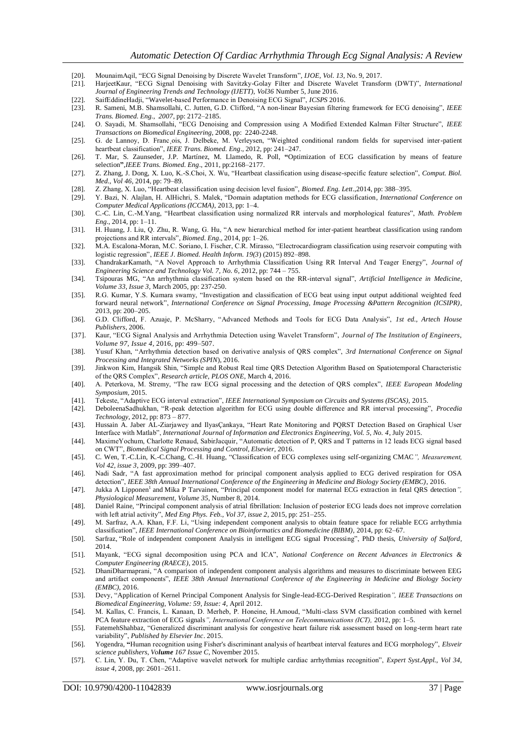- [20]. MounaimAqil, "ECG Signal Denoising by Discrete Wavelet Transform", *IJOE, Vol. 13*, No. 9, 2017.
- [21]. HarjeetKaur, "ECG Signal Denoising with Savitzky-Golay Filter and Discrete Wavelet Transform (DWT)", *International Journal of Engineering Trends and Technology (IJETT), Vol36* Number 5, June 2016.
- [22]. SaifEddineHadji, "Wavelet-based Performance in Denoising ECG Signal", *ICSPS* 2016.
- [23]. R. Sameni, M.B. Shamsollahi, C. Jutten, G.D. Clifford, "A non-linear Bayesian filtering framework for ECG denoising", *IEEE Trans. Biomed. Eng., 2007*, pp: 2172–2185.
- [24]. O. Sayadi, M. Shamsollahi, "ECG Denoising and Compression using A Modified Extended Kalman Filter Structure", *IEEE Transactions on Biomedical Engineering,* 2008, pp: 2240-2248.
- [25]. G. de Lannoy, D. Franc ois, J. Delbeke, M. Verleysen, "Weighted conditional random fields for supervised inter-patient heartbeat classification", *IEEE Trans. Biomed. Eng*., 2012, pp: 241–247.
- [26]. T. Mar, S. Zaunseder, J.P. Martínez, M. Llamedo, R. Poll, **"**Optimization of ECG classification by means of feature selection**"**,*IEEE Trans. Biomed. Eng*., 2011, pp:2168–2177.
- [27]. Z. Zhang, J. Dong, X. Luo, K.-S.Choi, X. Wu, "Heartbeat classification using disease-specific feature selection", *Comput. Biol. Med., Vol 46,* 2014, pp: 79–89.
- [28]. Z. Zhang, X. Luo, "Heartbeat classification using decision level fusion", *Biomed. Eng. Lett*.,2014, pp: 388–395.
- [29]. Y. Bazi, N. Alajlan, H. AlHichri, S. Malek, "Domain adaptation methods for ECG classification*, International Conference on Computer Medical Applications (ICCMA)*, 2013, pp: 1–4.
- [30]. C.-C. Lin, C.-M.Yang, "Heartbeat classification using normalized RR intervals and morphological features", *Math. Problem Eng*., 2014, pp: 1–11.
- [31]. H. Huang, J. Liu, Q. Zhu, R. Wang, G. Hu, "A new hierarchical method for inter-patient heartbeat classification using random projections and RR intervals", *Biomed. Eng*., 2014, pp: 1–26.
- [32]. M.A. Escalona-Moran, M.C. Soriano, I. Fischer, C.R. Mirasso, "Electrocardiogram classification using reservoir computing with logistic regression", *IEEE J. Biomed. Health Inform. 19(3*) (2015) 892–898.
- [33]. ChandrakarKamath, "A Novel Approach to Arrhythmia Classification Using RR Interval And Teager Energy", *Journal of Engineering Science and Technology Vol. 7, No. 6*, 2012, pp: 744 – 755.
- [34]. Tsipouras MG, "An arrhythmia classification system based on the RR-interval signal", *Artificial Intelligence in Medicine, Volume 33, Issue 3*, March 2005, pp: 237-250.
- [35]. R.G. Kumar, Y.S. Kumara swamy, "Investigation and classification of ECG beat using input output additional weighted feed forward neural network", *International Conference on Signal Processing, Image Processing &Pattern Recognition (ICSIPR)*, 2013, pp: 200–205.
- [36]. G.D. Clifford, F. Azuaje, P. McSharry, "Advanced Methods and Tools for ECG Data Analysis", *1st ed., Artech House Publishers*, 2006.
- [37]. Kaur, "ECG Signal Analysis and Arrhythmia Detection using Wavelet Transform", *Journal of The Institution of Engineers, Volume 97, Issue 4*, 2016, pp: 499–507.
- [38]. Yusuf Khan, "Arrhythmia detection based on derivative analysis of QRS complex", *3rd International Conference on Signal Processing and Integrated Networks (SPIN*), 2016.
- [39]. Jinkwon Kim, Hangsik Shin, "Simple and Robust Real time QRS Detection Algorithm Based on Spatiotemporal Characteristic of the QRS Complex", *Research article, PLOS ONE*, March 4, 2016.
- [40]. A. Peterkova, M. Stremy, "The raw ECG signal processing and the detection of QRS complex", *IEEE European Modeling Symposium,* 2015.
- [41]. Tekeste, "Adaptive ECG interval extraction", *IEEE International Symposium on Circuits and Systems (ISCAS),* 2015.
- [42]. DeboleenaSadhukhan, "R-peak detection algorithm for ECG using double difference and RR interval processing", *Procedia Technology*, 2012, pp: 873 – 877.
- [43]. Hussain A. Jaber AL-Ziarjawey and IlyasÇankaya, "Heart Rate Monitoring and PQRST Detection Based on Graphical User Interface with Matlab", *International Journal of Information and Electronics Engineering, Vol. 5, No. 4*, July 2015.
- [44]. MaximeYochum, Charlotte Renaud, SabirJacquir, "Automatic detection of P, QRS and T patterns in 12 leads ECG signal based on CWT", *Biomedical Signal Processing and Control, Elsevier,* 2016.
- [45]. C. Wen, T.-C.Lin, K.-C.Chang, C.-H. Huang, "Classification of ECG complexes using self-organizing CMAC*", Measurement, Vol 42, issue 3*, 2009, pp: 399–407.
- [46]. Nadi Sadr, "A fast approximation method for principal component analysis applied to ECG derived respiration for OSA detection", *IEEE 38th Annual International Conference of the Engineering in Medicine and Biology Society (EMBC)*, 2016.
- [47]. Jukka A Lipponen<sup>1</sup> and Mika P Tarvainen, "Principal component model for maternal ECG extraction in fetal QRS detection", *Physiological Measurement, Volume 35*, Number 8, 2014.
- [48]. Daniel Raine, "Principal component analysis of atrial fibrillation: Inclusion of posterior ECG leads does not improve correlation with left atrial activity", *Med Eng Phys. Feb., Vol 37, issue 2*, 2015, pp: 251–255.
- [49]. M. Sarfraz, A.A. Khan, F.F. Li, "Using independent component analysis to obtain feature space for reliable ECG arrhythmia classification", *IEEE International Conference on Bioinformatics and Biomedicine (BIBM),* 2014, pp: 62–67.
- [50]. Sarfraz, "Role of independent component Analysis in intelligent ECG signal Processing", PhD thesis, *University of Salford*, 2014.
- [51]. Mayank, "ECG signal decomposition using PCA and ICA", *National Conference on Recent Advances in Electronics & Computer Engineering (RAECE)*, 2015.
- [52]. DhaniDharmaprani, "A comparison of independent component analysis algorithms and measures to discriminate between EEG and artifact components", *IEEE 38th Annual International Conference of the Engineering in Medicine and Biology Society (EMBC),* 2016.
- [53]. Devy, "Application of Kernel Principal Component Analysis for Single-lead-ECG-Derived Respiration*", IEEE Transactions on Biomedical Engineering, Volume: 59, Issue: 4*, April 2012.
- [54]. M. Kallas, C. Francis, L. Kanaan, D. Merheb, P. Honeine, H.Amoud, "Multi-class SVM classification combined with kernel PCA feature extraction of ECG signals*", International Conference on Telecommunications (ICT),* 2012, pp: 1–5.
- [55]. FatemehShahbaz, "Generalized discriminant analysis for congestive heart failure risk assessment based on long-term heart rate variability", *Published by Elsevier Inc*. 2015.
- [56]. Yogendra, **"**Human recognition using Fisher's discriminant analysis of heartbeat interval features and ECG morphology", *Elsveir science publishers, Volume 167 Issue C*, November 2015.
- [57]. C. Lin, Y. Du, T. Chen, "Adaptive wavelet network for multiple cardiac arrhythmias recognition", *Expert Syst.Appl., Vol 34, issue 4*, 2008, pp: 2601–2611.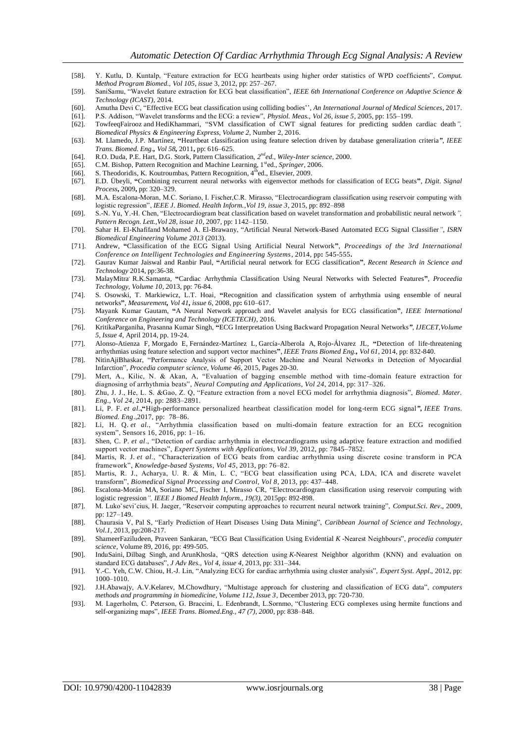- [58]. Y. Kutlu, D. Kuntalp, "Feature extraction for ECG heartbeats using higher order statistics of WPD coefficients", *Comput. Method Program Biomed., Vol 105, issue* 3, 2012, pp: 257–267.
- [59]. SaniSamu, "Wavelet feature extraction for ECG beat classification", *IEEE 6th International Conference on Adaptive Science & Technology (ICAST)*, 2014.
- [60]. Amutha Devi C, "Effective ECG beat classification using colliding bodies'', *An International Journal of Medical Sciences*, 2017.
- [61]. P.S. Addison, "Wavelet transforms and the ECG: a review", *Physiol. Meas., Vol 26, issue 5*, 2005, pp: 155–199.
- [62]. TowfeeqFairooz and HediKhammari, "SVM classification of CWT signal features for predicting sudden cardiac death*", Biomedical Physics & Engineering Express, Volume 2*, Number 2, 2016.
- [63]. M. Llamedo, J.P. Martínez, **"**Heartbeat classification using feature selection driven by database generalization criteria*", IEEE Trans. Biomed. Eng., Vol 58,* 2011**,** pp: 616–625.
- [64]. R.O. Duda, P.E. Hart, D.G. Stork, Pattern Classification, 2<sup>nd</sup>ed., Wiley-Inter science, 2000.
- [65]. C.M. Bishop, Pattern Recognition and Machine Learning, 1<sup>st</sup>ed., *Springer*, 2006.
- [66]. S. Theodoridis, K. Koutroumbas, Pattern Recognition, 4<sup>th</sup>ed., Elsevier, 2009.
- [67]. E.D. Übeyli, **"**Combining recurrent neural networks with eigenvector methods for classification of ECG beats**"**, *Digit. Signal Process***,** 2009**,** pp: 320–329.
- [68]. M.A. Escalona-Moran, M.C. Soriano, I. Fischer,C.R. Mirasso, "Electrocardiogram classification using reservoir computing with logistic regression", *IEEE J. Biomed. Health Inform.,Vol 19, issue 3*, 2015, pp: 892–898
- [69]. S.-N. Yu, Y.-H. Chen, "Electrocardiogram beat classification based on wavelet transformation and probabilistic neural network*", Pattern Recogn. Lett.,Vol 28, issue 10*, 2007, pp: 1142–1150.
- [70]. Sahar H. El-Khafifand Mohamed A. El-Brawany, "Artificial Neural Network-Based Automated ECG Signal Classifier*", ISRN Biomedical Engineering Volume 2013* (2013).
- [71]. Andrew, **"**Classification of the ECG Signal Using Artificial Neural Network**"**, *Proceedings of the 3rd International Conference on Intelligent Technologies and Engineering Systems*, 2014, pp**:** 545-555**.**
- [72]. Gaurav Kumar Jaiswal and Ranbir Paul, **"**Artificial neural network for ECG classification**"**, *Recent Research in Science and Technology* 2014, pp:36-38.
- [73]. MalayMitra, R.K.Samanta, **"**Cardiac Arrhythmia Classification Using Neural Networks with Selected Features**"**, *Proceedia Technology, Volume 10*, 2013, pp: 76-84.
- [74]. S. Osowski, T. Markiewicz, L.T. Hoai, **"**Recognition and classification system of arrhythmia using ensemble of neural networks**"**, *Measurement, Vol 41, issue 6*, 2008, pp**:** 610–617.
- [75]. Mayank Kumar Gautam, **"**A Neural Network approach and Wavelet analysis for ECG classification**"**, *IEEE International Conference on Engineering and Technology (ICETECH)*, 2016.
- [76]. KritikaParganiha, Prasanna Kumar Singh, **"**ECG Interpretation Using Backward Propagation Neural Networks*", IJECET,Volume 5, Issue 4,* April 2014, pp. 19-24.
- [77]. Alonso-Atienza F, Morgado E, Fernández-Martínez L, García-Alberola A, Rojo-Álvarez JL, **"**Detection of life-threatening arrhythmias using feature selection and support vector machines**"**, *IEEE Trans Biomed Eng., Vol 61*, 2014, pp: 832-840.
- [78]. [NitinAjiBhaskar,](http://www.sciencedirect.com/science/article/pii/S1877050915000447#!) "Performance Analysis of Support Vector Machine and Neural Networks in Detection of Myocardial Infarction", *Procedia computer science, Volume 46*, 2015, Pages 20-30.
- [79]. Mert, A., Kilic, N. & Akan, A, "Evaluation of bagging ensemble method with time -domain feature extraction for diagnosing of arrhythmia beats", *Neural Computing and Applications, Vol 24*, 2014, pp: 317–326.
- [80]. Zhu, J. J., He, L. S. &Gao, Z. Q, "Feature extraction from a novel ECG model for arrhythmia diagnosis", *Biomed. Mater. Eng., Vol 24*, 2014, pp: 2883–2891.
- [81]. Li, P. F. *et al*.**,"**High-performance personalized heartbeat classification model for long-term ECG signal*", IEEE Trans. Biomed. Eng*.,2017, pp: 78–86.
- [82]. Li, H. Q. *et al.*, "Arrhythmia classification based on multi-domain feature extraction for an ECG recognition system", Sensors 16, 2016, pp: 1–16.
- [83]. Shen, C. P. *et al*., "Detection of cardiac arrhythmia in electrocardiograms using adaptive feature extraction and modified support vector machines", *Expert Systems with Applications, Vol 39*, 2012, pp: 7845–7852.
- [84]. Martis, R. J. et al., "Characterization of ECG beats from cardiac arrhythmia using discrete cosine transform in PCA framework", *Knowledge-based Systems, Vol 45*, 2013, pp: 76–82.
- [85]. Martis, R. J., Acharya, U. R. & Min, L. C, "ECG beat classification using PCA, LDA, ICA and discrete wavelet transform", *Biomedical Signal Processing and Control, Vol 8*, 2013, pp: 437–448.
- [86]. Escalona-Morán MA, Soriano MC, Fischer I, Mirasso CR, "Electrocardiogram classification using reservoir computing with logistic regression*", IEEE J Biomed Health Inform., 19(3),* 2015pp: 892-898.
- [87]. M. Lukoˇseviˇcius, H. Jaeger, "Reservoir computing approaches to recurrent neural network training", *Comput.Sci. Rev*., 2009, pp: 127–149.
- [88]. Chaurasia V, Pal S, "Early Prediction of Heart Diseases Using Data Mining", *Caribbean Journal of Science and Technology, Vol.1*, 2013, pp:208-217.
- [89]. [ShameerFaziludeen, Praveen Sankaran,](http://www.sciencedirect.com/science/article/pii/S1877050916311711#!) "ECG Beat Classification Using Evidential *K* -Nearest Neighbours", *procedia computer science*, Volume 89, 2016, pp: 499-505.
- [90]. InduSaini, Dilbag Singh, and ArunKhosla, "QRS detection using *K*-Nearest Neighbor algorithm (KNN) and evaluation on standard ECG databases", *J Adv Res., Vol 4, issue 4*, 2013, pp: 331–344.
- [91]. Y.-C. Yeh, C.W. Chiou, H.-J. Lin, "Analyzing ECG for cardiac arrhythmia using cluster analysis", *Expert Syst. Appl*., 2012, pp: 1000–1010.
- [92]. [J.H.Abawajy, A.V.Kelarev, M.Chowdhury,](http://www.sciencedirect.com/science/article/pii/S0169260713002678#!) "Multistage approach for clustering and classification of ECG data", *computers methods and programming in biomedicine, Volume 112, Issue 3*, December 2013, pp: 720-730.
- [93]. M. Lagerholm, C. Peterson, G. Braccini, L. Edenbrandt, L.Sornmo, "Clustering ECG complexes using hermite functions and self-organizing maps", *IEEE Trans. Biomed.Eng., 47 (7), 2000*, pp: 838–848.